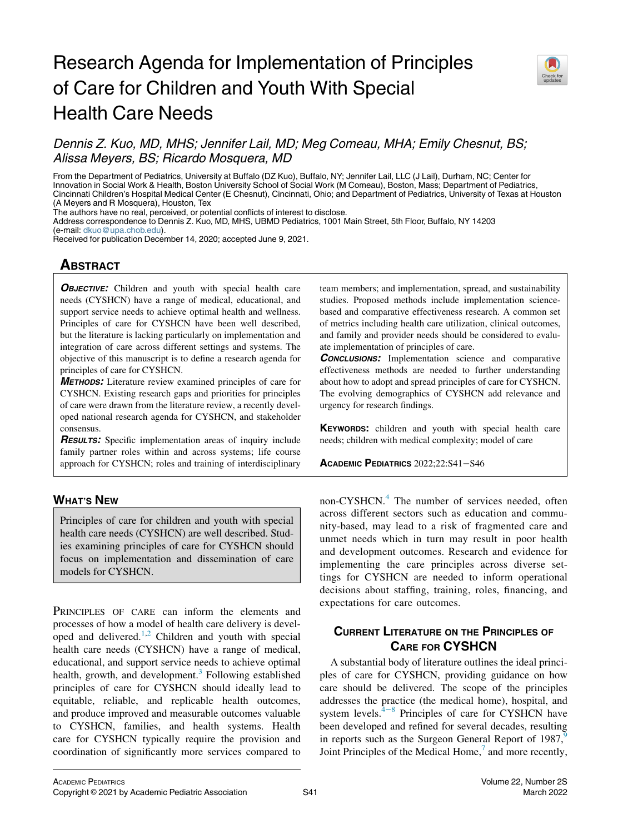# Research Agenda for Implementation of Principles of Care for Children and Youth With Special Health Care Needs



Dennis Z. Kuo, MD, MHS; Jennifer Lail, MD; Meg Comeau, MHA; Emily Chesnut, BS; Alissa Meyers, BS; Ricardo Mosquera, MD

From the Department of Pediatrics, University at Buffalo (DZ Kuo), Buffalo, NY; Jennifer Lail, LLC (J Lail), Durham, NC; Center for Innovation in Social Work & Health, Boston University School of Social Work (M Comeau), Boston, Mass; Department of Pediatrics, Cincinnati Children's Hospital Medical Center (E Chesnut), Cincinnati, Ohio; and Department of Pediatrics, University of Texas at Houston (A Meyers and R Mosquera), Houston, Tex

The authors have no real, perceived, or potential conflicts of interest to disclose.

Address correspondence to Dennis Z. Kuo, MD, MHS, UBMD Pediatrics, 1001 Main Street, 5th Floor, Buffalo, NY 14203

(e-mail: [dkuo@upa.chob.edu](mailto:dkuo@upa.chob.edu)).

Received for publication December 14, 2020; accepted June 9, 2021.

# **ABSTRACT**

**OBJECTIVE:** Children and youth with special health care needs (CYSHCN) have a range of medical, educational, and support service needs to achieve optimal health and wellness. Principles of care for CYSHCN have been well described, but the literature is lacking particularly on implementation and integration of care across different settings and systems. The objective of this manuscript is to define a research agenda for principles of care for CYSHCN.

METHODS: Literature review examined principles of care for CYSHCN. Existing research gaps and priorities for principles of care were drawn from the literature review, a recently developed national research agenda for CYSHCN, and stakeholder consensus.

**RESULTS:** Specific implementation areas of inquiry include family partner roles within and across systems; life course approach for CYSHCN; roles and training of interdisciplinary

# WHAT'S NEW

Principles of care for children and youth with special health care needs (CYSHCN) are well described. Studies examining principles of care for CYSHCN should focus on implementation and dissemination of care models for CYSHCN.

PRINCIPLES OF CARE can inform the elements and processes of how a model of health care delivery is developed and delivered. $1,2$  $1,2$  Children and youth with special health care needs (CYSHCN) have a range of medical, educational, and support service needs to achieve optimal health, growth, and development. $3$  Following established principles of care for CYSHCN should ideally lead to equitable, reliable, and replicable health outcomes, and produce improved and measurable outcomes valuable to CYSHCN, families, and health systems. Health care for CYSHCN typically require the provision and coordination of significantly more services compared to

team members; and implementation, spread, and sustainability studies. Proposed methods include implementation sciencebased and comparative effectiveness research. A common set of metrics including health care utilization, clinical outcomes, and family and provider needs should be considered to evaluate implementation of principles of care.

**CONCLUSIONS:** Implementation science and comparative effectiveness methods are needed to further understanding about how to adopt and spread principles of care for CYSHCN. The evolving demographics of CYSHCN add relevance and urgency for research findings.

KEYWORDS: children and youth with special health care needs; children with medical complexity; model of care

ACADEMIC PEDIATRICS 2022;22:S41−S46

non-CYSHCN.<sup>[4](#page-5-3)</sup> The number of services needed, often across different sectors such as education and community-based, may lead to a risk of fragmented care and unmet needs which in turn may result in poor health and development outcomes. Research and evidence for implementing the care principles across diverse settings for CYSHCN are needed to inform operational decisions about staffing, training, roles, financing, and expectations for care outcomes.

# CURRENT LITERATURE ON THE PRINCIPLES OF CARE FOR CYSHCN

A substantial body of literature outlines the ideal principles of care for CYSHCN, providing guidance on how care should be delivered. The scope of the principles addresses the practice (the medical home), hospital, and system levels. $4^{-8}$  Principles of care for CYSHCN have been developed and refined for several decades, resulting in reports such as the Surgeon General Report of 1987,<sup>9</sup> Joint Principles of the Medical Home, $<sup>7</sup>$  $<sup>7</sup>$  $<sup>7</sup>$  and more recently,</sup>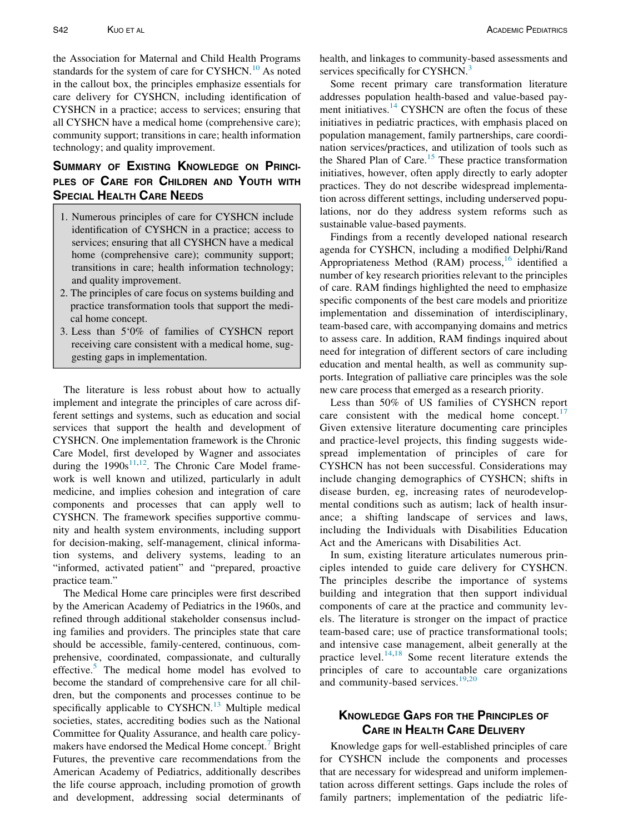the Association for Maternal and Child Health Programs standards for the system of care for CYSHCN.<sup>[10](#page-5-6)</sup> As noted in the callout box, the principles emphasize essentials for care delivery for CYSHCN, including identification of CYSHCN in a practice; access to services; ensuring that all CYSHCN have a medical home (comprehensive care); community support; transitions in care; health information technology; and quality improvement.

# SUMMARY OF EXISTING KNOWLEDGE ON PRINCI-PLES OF CARE FOR CHILDREN AND YOUTH WITH SPECIAL HEALTH CARE NEEDS

- 1. Numerous principles of care for CYSHCN include identification of CYSHCN in a practice; access to services; ensuring that all CYSHCN have a medical home (comprehensive care); community support; transitions in care; health information technology; and quality improvement.
- 2. The principles of care focus on systems building and practice transformation tools that support the medical home concept.
- 3. Less than 5'0% of families of CYSHCN report receiving care consistent with a medical home, suggesting gaps in implementation.

The literature is less robust about how to actually implement and integrate the principles of care across different settings and systems, such as education and social services that support the health and development of CYSHCN. One implementation framework is the Chronic Care Model, first developed by Wagner and associates during the  $1990s^{11,12}$  $1990s^{11,12}$  $1990s^{11,12}$ . The Chronic Care Model framework is well known and utilized, particularly in adult medicine, and implies cohesion and integration of care components and processes that can apply well to CYSHCN. The framework specifies supportive community and health system environments, including support for decision-making, self-management, clinical information systems, and delivery systems, leading to an "informed, activated patient" and "prepared, proactive practice team."

The Medical Home care principles were first described by the American Academy of Pediatrics in the 1960s, and refined through additional stakeholder consensus including families and providers. The principles state that care should be accessible, family-centered, continuous, comprehensive, coordinated, compassionate, and culturally effective. $5$  The medical home model has evolved to become the standard of comprehensive care for all children, but the components and processes continue to be specifically applicable to  $CYSHCN<sup>13</sup>$  $CYSHCN<sup>13</sup>$  $CYSHCN<sup>13</sup>$  Multiple medical societies, states, accrediting bodies such as the National Committee for Quality Assurance, and health care policymakers have endorsed the Medical Home concept. Bright Futures, the preventive care recommendations from the American Academy of Pediatrics, additionally describes the life course approach, including promotion of growth and development, addressing social determinants of health, and linkages to community-based assessments and services specifically for CYSHCN.<sup>[3](#page-5-2)</sup>

Some recent primary care transformation literature addresses population health-based and value-based payment initiatives. $14$  CYSHCN are often the focus of these initiatives in pediatric practices, with emphasis placed on population management, family partnerships, care coordination services/practices, and utilization of tools such as the Shared Plan of Care.<sup>[15](#page-5-12)</sup> These practice transformation initiatives, however, often apply directly to early adopter practices. They do not describe widespread implementation across different settings, including underserved populations, nor do they address system reforms such as sustainable value-based payments.

Findings from a recently developed national research agenda for CYSHCN, including a modified Delphi/Rand Appropriateness Method (RAM) process, <sup>[16](#page-5-13)</sup> identified a number of key research priorities relevant to the principles of care. RAM findings highlighted the need to emphasize specific components of the best care models and prioritize implementation and dissemination of interdisciplinary, team-based care, with accompanying domains and metrics to assess care. In addition, RAM findings inquired about need for integration of different sectors of care including education and mental health, as well as community supports. Integration of palliative care principles was the sole new care process that emerged as a research priority.

Less than 50% of US families of CYSHCN report care consistent with the medical home concept. $\frac{17}{17}$  $\frac{17}{17}$  $\frac{17}{17}$ Given extensive literature documenting care principles and practice-level projects, this finding suggests widespread implementation of principles of care for CYSHCN has not been successful. Considerations may include changing demographics of CYSHCN; shifts in disease burden, eg, increasing rates of neurodevelopmental conditions such as autism; lack of health insurance; a shifting landscape of services and laws, including the Individuals with Disabilities Education Act and the Americans with Disabilities Act.

In sum, existing literature articulates numerous principles intended to guide care delivery for CYSHCN. The principles describe the importance of systems building and integration that then support individual components of care at the practice and community levels. The literature is stronger on the impact of practice team-based care; use of practice transformational tools; and intensive case management, albeit generally at the practice level. $14,18$  $14,18$  Some recent literature extends the principles of care to accountable care organizations and community-based services.<sup>[19](#page-5-16)[,20](#page-5-17)</sup>

# KNOWLEDGE GAPS FOR THE PRINCIPLES OF CARE IN HEALTH CARE DELIVERY

Knowledge gaps for well-established principles of care for CYSHCN include the components and processes that are necessary for widespread and uniform implementation across different settings. Gaps include the roles of family partners; implementation of the pediatric life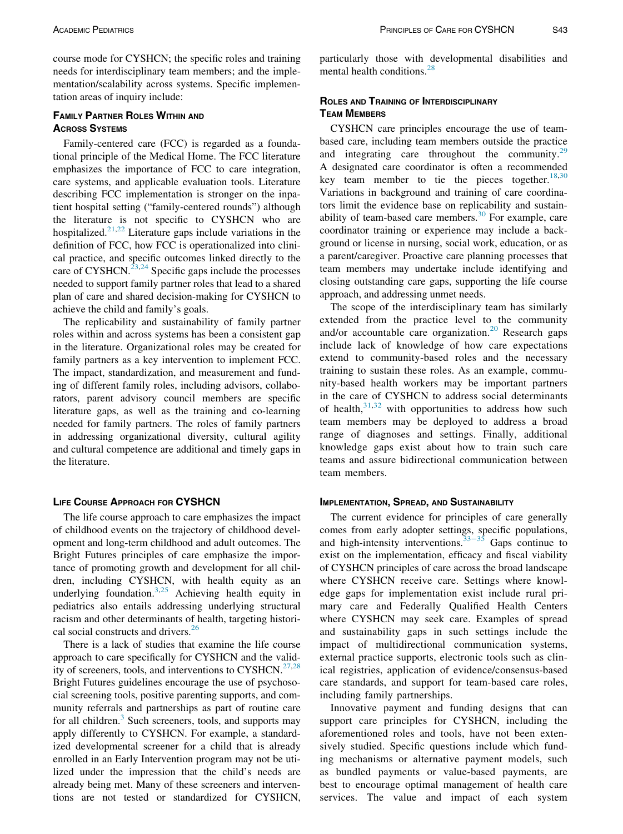course mode for CYSHCN; the specific roles and training needs for interdisciplinary team members; and the implementation/scalability across systems. Specific implementation areas of inquiry include:

## FAMILY PARTNER ROLES WITHIN AND ACROSS SYSTEMS

Family-centered care (FCC) is regarded as a foundational principle of the Medical Home. The FCC literature emphasizes the importance of FCC to care integration, care systems, and applicable evaluation tools. Literature describing FCC implementation is stronger on the inpatient hospital setting ("family-centered rounds") although the literature is not specific to CYSHCN who are hospitalized.<sup>[21](#page-5-18),[22](#page-5-19)</sup> Literature gaps include variations in the definition of FCC, how FCC is operationalized into clinical practice, and specific outcomes linked directly to the care of CYSHCN.<sup>[23](#page-5-20),[24](#page-5-21)</sup> Specific gaps include the processes needed to support family partner roles that lead to a shared plan of care and shared decision-making for CYSHCN to achieve the child and family's goals.

The replicability and sustainability of family partner roles within and across systems has been a consistent gap in the literature. Organizational roles may be created for family partners as a key intervention to implement FCC. The impact, standardization, and measurement and funding of different family roles, including advisors, collaborators, parent advisory council members are specific literature gaps, as well as the training and co-learning needed for family partners. The roles of family partners in addressing organizational diversity, cultural agility and cultural competence are additional and timely gaps in the literature.

#### LIFE COURSE APPROACH FOR CYSHCN

The life course approach to care emphasizes the impact of childhood events on the trajectory of childhood development and long-term childhood and adult outcomes. The Bright Futures principles of care emphasize the importance of promoting growth and development for all children, including CYSHCN, with health equity as an underlying foundation.<sup>[3,](#page-5-2)[25](#page-5-22)</sup> Achieving health equity in pediatrics also entails addressing underlying structural racism and other determinants of health, targeting histori-cal social constructs and drivers.<sup>[26](#page-5-23)</sup>

There is a lack of studies that examine the life course approach to care specifically for CYSHCN and the valid-ity of screeners, tools, and interventions to CYSHCN.<sup>[27](#page-5-24),[28](#page-5-25)</sup> Bright Futures guidelines encourage the use of psychosocial screening tools, positive parenting supports, and community referrals and partnerships as part of routine care for all children. $3$  Such screeners, tools, and supports may apply differently to CYSHCN. For example, a standardized developmental screener for a child that is already enrolled in an Early Intervention program may not be utilized under the impression that the child's needs are already being met. Many of these screeners and interventions are not tested or standardized for CYSHCN,

particularly those with developmental disabilities and mental health conditions.[28](#page-5-25)

## ROLES AND TRAINING OF INTERDISCIPLINARY TEAM MEMBERS

CYSHCN care principles encourage the use of teambased care, including team members outside the practice and integrating care throughout the community. $29$ A designated care coordinator is often a recommended key team member to tie the pieces together.  $18,30$  $18,30$ Variations in background and training of care coordinators limit the evidence base on replicability and sustainability of team-based care members. $30$  For example, care coordinator training or experience may include a background or license in nursing, social work, education, or as a parent/caregiver. Proactive care planning processes that team members may undertake include identifying and closing outstanding care gaps, supporting the life course approach, and addressing unmet needs.

The scope of the interdisciplinary team has similarly extended from the practice level to the community and/or accountable care organization.<sup>20</sup> Research gaps include lack of knowledge of how care expectations extend to community-based roles and the necessary training to sustain these roles. As an example, community-based health workers may be important partners in the care of CYSHCN to address social determinants of health, $31,32$  $31,32$  with opportunities to address how such team members may be deployed to address a broad range of diagnoses and settings. Finally, additional knowledge gaps exist about how to train such care teams and assure bidirectional communication between team members.

#### IMPLEMENTATION, SPREAD, AND SUSTAINABILITY

The current evidence for principles of care generally comes from early adopter settings, specific populations, and high-intensity interventions.<sup>[33](#page-5-30)–35</sup> Gaps continue to exist on the implementation, efficacy and fiscal viability of CYSHCN principles of care across the broad landscape where CYSHCN receive care. Settings where knowledge gaps for implementation exist include rural primary care and Federally Qualified Health Centers where CYSHCN may seek care. Examples of spread and sustainability gaps in such settings include the impact of multidirectional communication systems, external practice supports, electronic tools such as clinical registries, application of evidence/consensus-based care standards, and support for team-based care roles, including family partnerships.

Innovative payment and funding designs that can support care principles for CYSHCN, including the aforementioned roles and tools, have not been extensively studied. Specific questions include which funding mechanisms or alternative payment models, such as bundled payments or value-based payments, are best to encourage optimal management of health care services. The value and impact of each system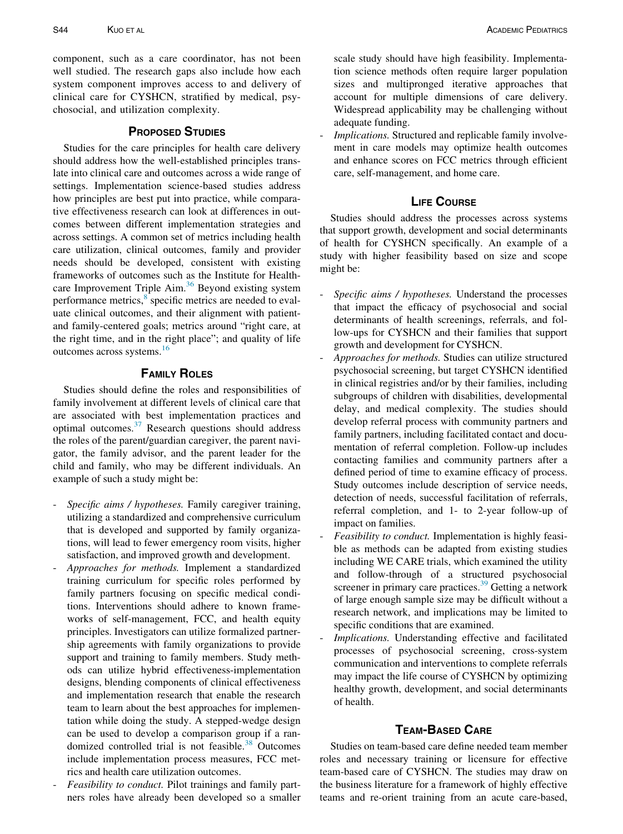component, such as a care coordinator, has not been well studied. The research gaps also include how each system component improves access to and delivery of clinical care for CYSHCN, stratified by medical, psychosocial, and utilization complexity.

## PROPOSED STUDIES

Studies for the care principles for health care delivery should address how the well-established principles translate into clinical care and outcomes across a wide range of settings. Implementation science-based studies address how principles are best put into practice, while comparative effectiveness research can look at differences in outcomes between different implementation strategies and across settings. A common set of metrics including health care utilization, clinical outcomes, family and provider needs should be developed, consistent with existing frameworks of outcomes such as the Institute for Health-care Improvement Triple Aim.<sup>[36](#page-5-31)</sup> Beyond existing system performance metrics,<sup>[8](#page-5-32)</sup> specific metrics are needed to evaluate clinical outcomes, and their alignment with patientand family-centered goals; metrics around "right care, at the right time, and in the right place"; and quality of life outcomes across systems.[16](#page-5-13)

## FAMILY ROLES

Studies should define the roles and responsibilities of family involvement at different levels of clinical care that are associated with best implementation practices and optimal outcomes.[37](#page-5-33) Research questions should address the roles of the parent/guardian caregiver, the parent navigator, the family advisor, and the parent leader for the child and family, who may be different individuals. An example of such a study might be:

- Specific aims / hypotheses. Family caregiver training, utilizing a standardized and comprehensive curriculum that is developed and supported by family organizations, will lead to fewer emergency room visits, higher satisfaction, and improved growth and development.
- Approaches for methods. Implement a standardized training curriculum for specific roles performed by family partners focusing on specific medical conditions. Interventions should adhere to known frameworks of self-management, FCC, and health equity principles. Investigators can utilize formalized partnership agreements with family organizations to provide support and training to family members. Study methods can utilize hybrid effectiveness-implementation designs, blending components of clinical effectiveness and implementation research that enable the research team to learn about the best approaches for implementation while doing the study. A stepped-wedge design can be used to develop a comparison group if a randomized controlled trial is not feasible. $38$  Outcomes include implementation process measures, FCC metrics and health care utilization outcomes.
- Feasibility to conduct. Pilot trainings and family partners roles have already been developed so a smaller

scale study should have high feasibility. Implementation science methods often require larger population sizes and multipronged iterative approaches that account for multiple dimensions of care delivery. Widespread applicability may be challenging without adequate funding.

Implications. Structured and replicable family involvement in care models may optimize health outcomes and enhance scores on FCC metrics through efficient care, self-management, and home care.

## LIFE COURSE

Studies should address the processes across systems that support growth, development and social determinants of health for CYSHCN specifically. An example of a study with higher feasibility based on size and scope might be:

- Specific aims / hypotheses. Understand the processes that impact the efficacy of psychosocial and social determinants of health screenings, referrals, and follow-ups for CYSHCN and their families that support growth and development for CYSHCN.
- Approaches for methods. Studies can utilize structured psychosocial screening, but target CYSHCN identified in clinical registries and/or by their families, including subgroups of children with disabilities, developmental delay, and medical complexity. The studies should develop referral process with community partners and family partners, including facilitated contact and documentation of referral completion. Follow-up includes contacting families and community partners after a defined period of time to examine efficacy of process. Study outcomes include description of service needs, detection of needs, successful facilitation of referrals, referral completion, and 1- to 2-year follow-up of impact on families.
- Feasibility to conduct. Implementation is highly feasible as methods can be adapted from existing studies including WE CARE trials, which examined the utility and follow-through of a structured psychosocial screener in primary care practices. $39$  Getting a network of large enough sample size may be difficult without a research network, and implications may be limited to specific conditions that are examined.
- Implications. Understanding effective and facilitated processes of psychosocial screening, cross-system communication and interventions to complete referrals may impact the life course of CYSHCN by optimizing healthy growth, development, and social determinants of health.

# TEAM-BASED CARE

Studies on team-based care define needed team member roles and necessary training or licensure for effective team-based care of CYSHCN. The studies may draw on the business literature for a framework of highly effective teams and re-orient training from an acute care-based,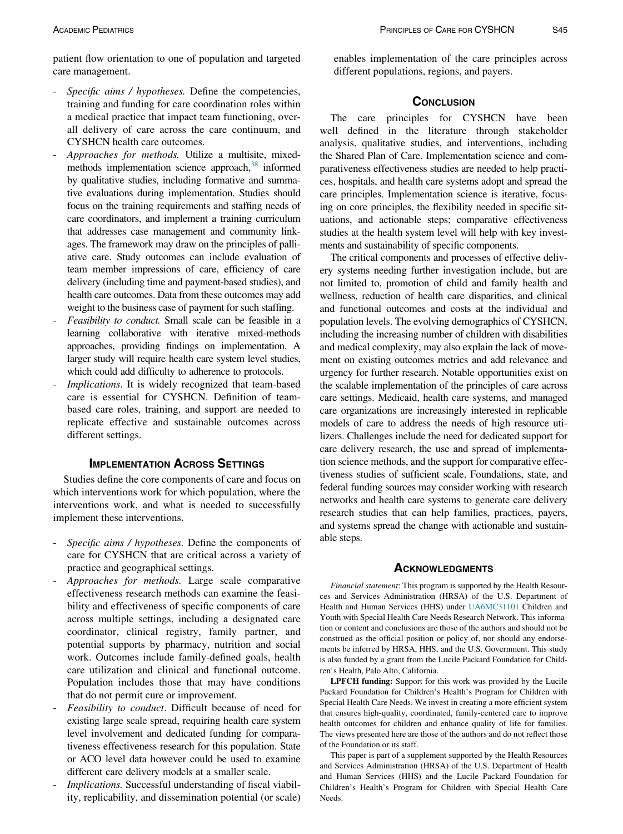patient flow orientation to one of population and targeted care management.

- Specific aims / hypotheses. Define the competencies, training and funding for care coordination roles within a medical practice that impact team functioning, overall delivery of care across the care continuum, and CYSHCN health care outcomes.
- Approaches for methods. Utilize a multisite, mixedmethods implementation science approach, $38$  informed by qualitative studies, including formative and summative evaluations during implementation. Studies should focus on the training requirements and staffing needs of care coordinators, and implement a training curriculum that addresses case management and community linkages. The framework may draw on the principles of palliative care. Study outcomes can include evaluation of team member impressions of care, efficiency of care delivery (including time and payment-based studies), and health care outcomes. Data from these outcomes may add weight to the business case of payment for such staffing.
- Feasibility to conduct. Small scale can be feasible in a learning collaborative with iterative mixed-methods approaches, providing findings on implementation. A larger study will require health care system level studies, which could add difficulty to adherence to protocols.
- Implications. It is widely recognized that team-based care is essential for CYSHCN. Definition of teambased care roles, training, and support are needed to replicate effective and sustainable outcomes across different settings.

## IMPLEMENTATION ACROSS SETTINGS

Studies define the core components of care and focus on which interventions work for which population, where the interventions work, and what is needed to successfully implement these interventions.

- Specific aims / hypotheses. Define the components of care for CYSHCN that are critical across a variety of practice and geographical settings.
- <span id="page-4-0"></span>Approaches for methods. Large scale comparative effectiveness research methods can examine the feasibility and effectiveness of specific components of care across multiple settings, including a designated care coordinator, clinical registry, family partner, and potential supports by pharmacy, nutrition and social work. Outcomes include family-defined goals, health care utilization and clinical and functional outcome. Population includes those that may have conditions that do not permit cure or improvement.
- Feasibility to conduct. Difficult because of need for existing large scale spread, requiring health care system level involvement and dedicated funding for comparativeness effectiveness research for this population. State or ACO level data however could be used to examine different care delivery models at a smaller scale.
- Implications. Successful understanding of fiscal viability, replicability, and dissemination potential (or scale)

enables implementation of the care principles across different populations, regions, and payers.

#### **CONCLUSION**

The care principles for CYSHCN have been well defined in the literature through stakeholder analysis, qualitative studies, and interventions, including the Shared Plan of Care. Implementation science and comparativeness effectiveness studies are needed to help practices, hospitals, and health care systems adopt and spread the care principles. Implementation science is iterative, focusing on core principles, the flexibility needed in specific situations, and actionable steps; comparative effectiveness studies at the health system level will help with key investments and sustainability of specific components.

The critical components and processes of effective delivery systems needing further investigation include, but are not limited to, promotion of child and family health and wellness, reduction of health care disparities, and clinical and functional outcomes and costs at the individual and population levels. The evolving demographics of CYSHCN, including the increasing number of children with disabilities and medical complexity, may also explain the lack of movement on existing outcomes metrics and add relevance and urgency for further research. Notable opportunities exist on the scalable implementation of the principles of care across care settings. Medicaid, health care systems, and managed care organizations are increasingly interested in replicable models of care to address the needs of high resource utilizers. Challenges include the need for dedicated support for care delivery research, the use and spread of implementation science methods, and the support for comparative effectiveness studies of sufficient scale. Foundations, state, and federal funding sources may consider working with research networks and health care systems to generate care delivery research studies that can help families, practices, payers, and systems spread the change with actionable and sustainable steps.

#### **ACKNOWLEDGMENTS**

Financial statement: This program is supported by the Health Resources and Services Administration (HRSA) of the U.S. Department of Health and Human Services (HHS) under [UA6MC31101](#page-4-0) Children and Youth with Special Health Care Needs Research Network. This information or content and conclusions are those of the authors and should not be construed as the official position or policy of, nor should any endorsements be inferred by HRSA, HHS, and the U.S. Government. This study is also funded by a grant from the Lucile Packard Foundation for Children's Health, Palo Alto, California.

LPFCH funding: Support for this work was provided by the Lucile Packard Foundation for Children's Health's Program for Children with Special Health Care Needs. We invest in creating a more efficient system that ensures high-quality, coordinated, family-centered care to improve health outcomes for children and enhance quality of life for families. The views presented here are those of the authors and do not reflect those of the Foundation or its staff.

This paper is part of a supplement supported by the Health Resources and Services Administration (HRSA) of the U.S. Department of Health and Human Services (HHS) and the Lucile Packard Foundation for Children's Health's Program for Children with Special Health Care Needs.